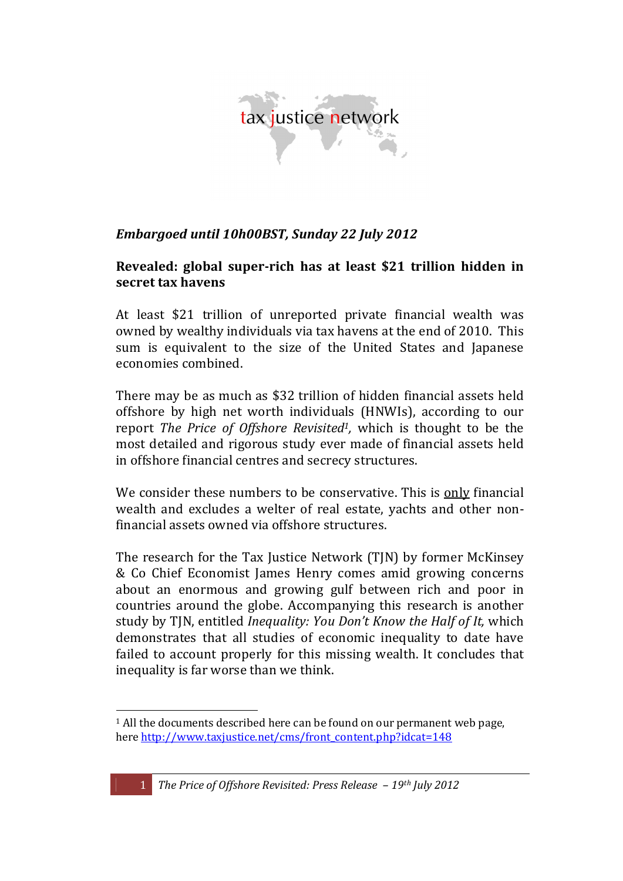

### Embargoed until 10h00BST, Sunday 22 July 2012

#### Revealed: global super-rich has at least \$21 trillion hidden in secret tax havens

At least \$21 trillion of unreported private financial wealth was owned by wealthy individuals via tax havens at the end of 2010. This sum is equivalent to the size of the United States and Japanese economies combined.

There may be as much as \$32 trillion of hidden financial assets held offshore by high net worth individuals (HNWIs), according to our report The Price of Offshore Revisited<sup>1</sup>, which is thought to be the most detailed and rigorous study ever made of financial assets held in offshore financial centres and secrecy structures.

We consider these numbers to be conservative. This is only financial wealth and excludes a welter of real estate, yachts and other nonfinancial assets owned via offshore structures.

The research for the Tax Justice Network (TJN) by former McKinsey & Co Chief Economist James Henry comes amid growing concerns about an enormous and growing gulf between rich and poor in countries around the globe. Accompanying this research is another study by TJN, entitled *Inequality: You Don't Know the Half of It*, which demonstrates that all studies of economic inequality to date have failed to account properly for this missing wealth. It concludes that inequality is far worse than we think.

<sup>&</sup>lt;sup>1</sup> All the documents described here can be found on our permanent web page. here http://www.taxjustice.net/cms/front\_content.php?idcat=148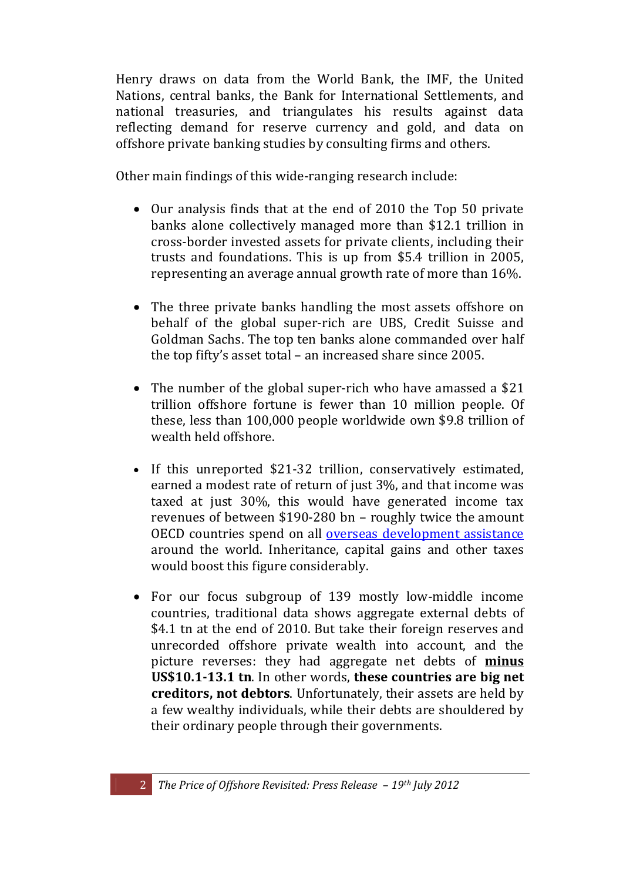Henry draws on data from the World Bank, the IMF, the United Nations, central banks, the Bank for International Settlements, and national treasuries, and triangulates his results against data reflecting demand for reserve currency and gold, and data on offshore private banking studies by consulting firms and others.

Other main findings of this wide-ranging research include:

- Our analysis finds that at the end of 2010 the Top 50 private banks alone collectively managed more than \$12.1 trillion in cross-border invested assets for private clients, including their trusts and foundations. This is up from \$5.4 trillion in 2005, representing an average annual growth rate of more than 16%.
- The three private banks handling the most assets offshore on behalf of the global super-rich are UBS, Credit Suisse and Goldman Sachs. The top ten banks alone commanded over half the top fifty's asset total – an increased share since  $2005$ .
- The number of the global super-rich who have amassed a  $$21$ trillion offshore fortune is fewer than 10 million people. Of these, less than  $100,000$  people worldwide own \$9.8 trillion of wealth held offshore.
- If this unreported \$21-32 trillion, conservatively estimated, earned a modest rate of return of just 3%, and that income was taxed at just 30%, this would have generated income tax revenues of between  $$190-280$  bn – roughly twice the amount OECD countries spend on all overseas development assistance around the world. Inheritance, capital gains and other taxes would boost this figure considerably.
- For our focus subgroup of  $139$  mostly low-middle income countries, traditional data shows aggregate external debts of \$4.1 tn at the end of 2010. But take their foreign reserves and unrecorded offshore private wealth into account, and the picture! reverses:! they! had aggregate! net! debts! of! **minus US\$10.1-13.1 tn.** In other words, these countries are big net **creditors, not debtors**. Unfortunately, their assets are held by a few wealthy individuals, while their debts are shouldered by their ordinary people through their governments.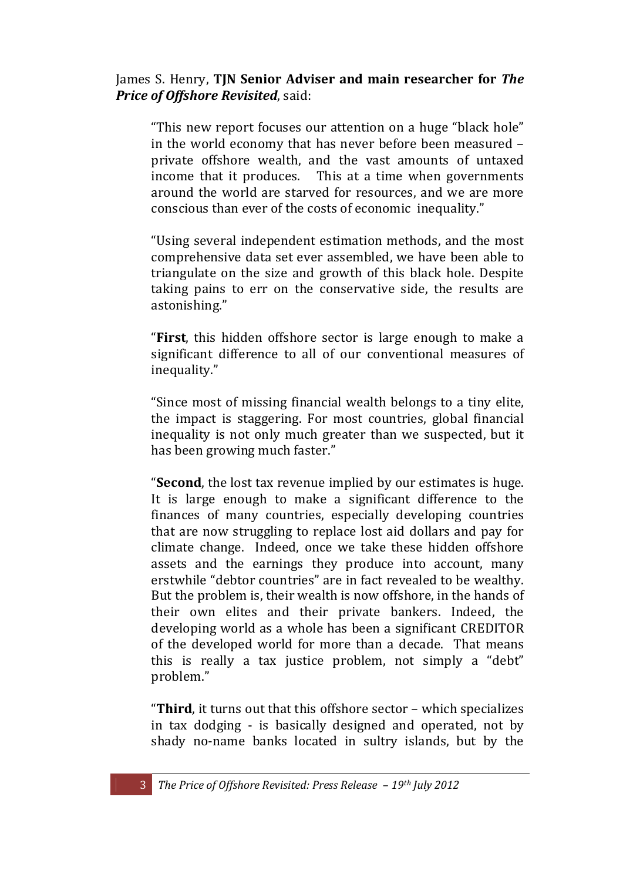#### James S. Henry, **TIN Senior Adviser and main researcher for** *The Price of Offshore Revisited, said:*

"This new report focuses our attention on a huge "black hole" in the world economy that has never before been measured  $$ private offshore wealth, and the vast amounts of untaxed income that it produces. This at a time when governments around the world are starved for resources, and we are more conscious than ever of the costs of economic inequality."

"Using several independent estimation methods, and the most comprehensive data set ever assembled, we have been able to triangulate on the size and growth of this black hole. Despite taking pains to err on the conservative side, the results are astonishing."

"**First**, this hidden offshore sector is large enough to make a significant difference to all of our conventional measures of inequality."

"Since most of missing financial wealth belongs to a tiny elite, the impact is staggering. For most countries, global financial inequality is not only much greater than we suspected, but it has been growing much faster."

"**Second**, the lost tax revenue implied by our estimates is huge. It is large enough to make a significant difference to the finances of many countries, especially developing countries that are now struggling to replace lost aid dollars and pay for climate change. Indeed, once we take these hidden offshore assets and the earnings they produce into account, many erstwhile "debtor countries" are in fact revealed to be wealthy. But the problem is, their wealth is now offshore, in the hands of their own elites and their private bankers. Indeed, the developing world as a whole has been a significant CREDITOR of the developed world for more than a decade. That means this is really a tax justice problem, not simply a "debt" problem."

"Third, it turns out that this offshore sector – which specializes in tax dodging - is basically designed and operated, not by shady no-name banks located in sultry islands, but by the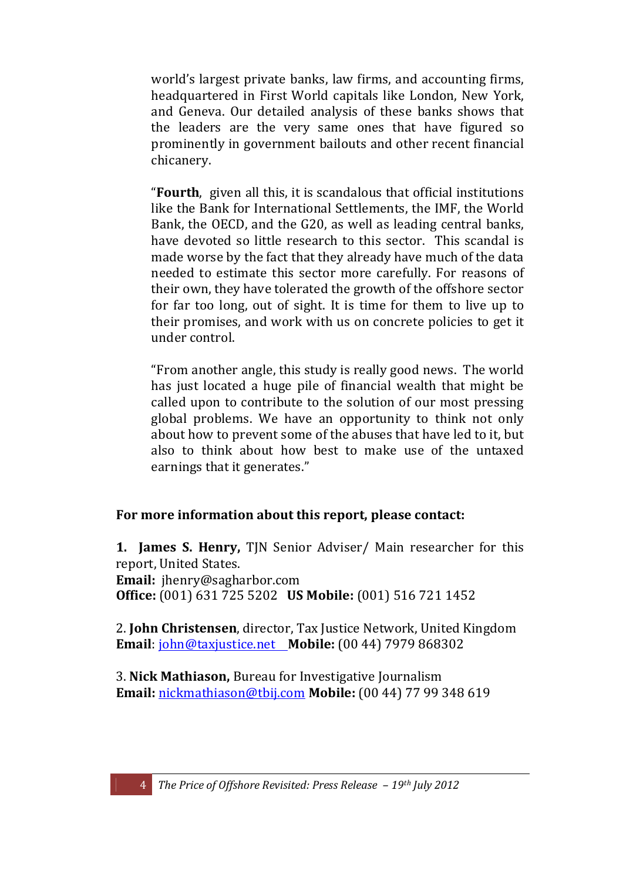world's largest private banks, law firms, and accounting firms, headquartered in First World capitals like London, New York, and Geneva. Our detailed analysis of these banks shows that the leaders are the very same ones that have figured so prominently in government bailouts and other recent financial chicanery.

"**Fourth**, given all this, it is scandalous that official institutions like the Bank for International Settlements, the IMF, the World Bank, the OECD, and the G20, as well as leading central banks, have devoted so little research to this sector. This scandal is made worse by the fact that they already have much of the data needed to estimate this sector more carefully. For reasons of their own, they have tolerated the growth of the offshore sector for far too long, out of sight. It is time for them to live up to their promises, and work with us on concrete policies to get it under control.

"From another angle, this study is really good news. The world has just located a huge pile of financial wealth that might be called upon to contribute to the solution of our most pressing global problems. We have an opportunity to think not only about how to prevent some of the abuses that have led to it, but also to think about how best to make use of the untaxed earnings that it generates."

### For more information about this report, please contact:

**1. James S. Henry, TJN Senior Adviser/ Main researcher for this** report, United States. **Email:** ihenry@sagharbor.com

**Office:** (001) 631 725 5202 **US Mobile:** (001) 516 721 1452

2. **John Christensen**, director, Tax Justice Network, United Kingdom **Email**: john@taxjustice.net **Mobile:** (00 44) 7979 868302

3. Nick Mathiason, Bureau for Investigative Journalism **Email:** nickmathiason@tbij.com Mobile: (00 44) 77 99 348 619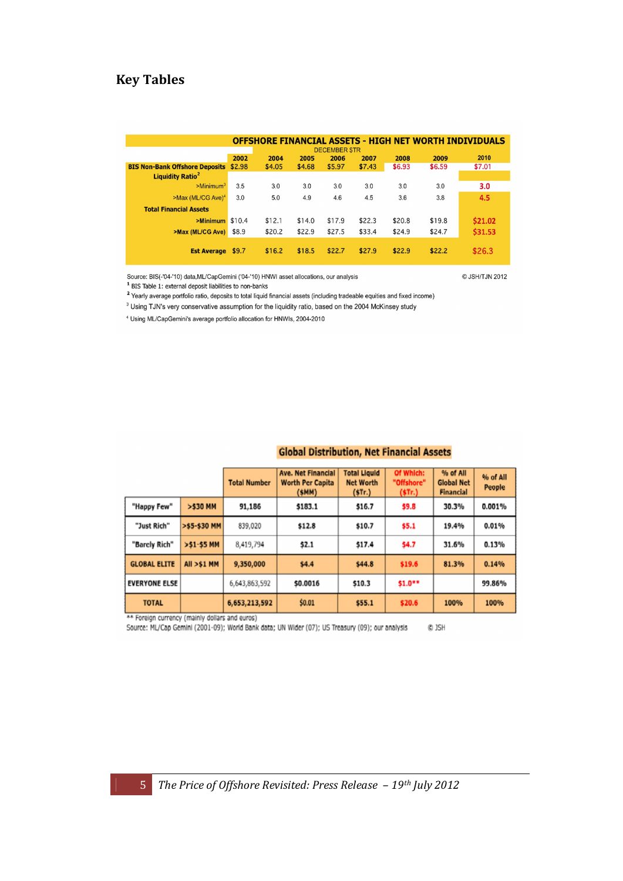# **Key!Tables**

| <b>OFFSHORE FINANCIAL ASSETS - HIGH NET WORTH INDIVIDUALS</b><br><b>DECEMBER STR</b> |        |        |        |        |        |        |        |         |  |
|--------------------------------------------------------------------------------------|--------|--------|--------|--------|--------|--------|--------|---------|--|
|                                                                                      | 2002   | 2009   | 2010   |        |        |        |        |         |  |
| <b>BIS Non-Bank Offshore Deposits</b>                                                | \$2.98 | \$4.05 | \$4.68 | \$5.97 | \$7.43 | \$6.93 | \$6.59 | \$7.01  |  |
| <b>Liquidity Ratio<sup>2</sup></b>                                                   |        |        |        |        |        |        |        |         |  |
| >Minimum <sup>3</sup>                                                                | 3.5    | 3.0    | 3.0    | 3.0    | 3.0    | 3.0    | 3.0    | 3.0     |  |
| >Max (ML/CG Ave) <sup>4</sup>                                                        | 3.0    | 5.0    | 4.9    | 4.6    | 4.5    | 3.6    | 3.8    | 4.5     |  |
| <b>Total Financial Assets</b>                                                        |        |        |        |        |        |        |        |         |  |
| $>$ Minimum \$10.4                                                                   |        | \$12.1 | \$14.0 | \$17.9 | \$22.3 | \$20.8 | \$19.8 | \$21.02 |  |
| >Max (ML/CG Ave)                                                                     | \$8.9  | \$20.2 | \$22.9 | \$27.5 | \$33.4 | \$24.9 | \$24.7 | \$31.53 |  |
| <b>Est Average</b>                                                                   | \$9.7  | \$16.2 | \$18.5 | \$22.7 | \$27.9 | \$22.9 | \$22.2 | \$26.3  |  |

Source: BIS(-'04-'10) data, ML/CapGemini ('04-'10) HNWI asset allocations, our analysis  $1$  BIS Table 1: external deposit liabilities to non-banks

@ JSH/TJN 2012

Prearly average portfolio ratio, deposits to total liquid financial assets (including tradeable equities and fixed income)

<sup>3</sup> Using TJN's very conservative assumption for the liquidity ratio, based on the 2004 McKinsey study

<sup>4</sup> Using ML/CapGemini's average portfolio allocation for HNWIs, 2004-2010

## **Global Distribution, Net Financial Assets**

|                                              |              | <b>Total Number</b> | <b>Ave. Net Financial</b><br><b>Worth Per Capita</b><br>(SMM) | <b>Total Liquid</b><br><b>Net Worth</b><br>(5Tr.) | Of Which:<br>"Offshore"<br>(5Tr.) | % of All<br><b>Global Net</b><br><b>Financial</b> | % of All<br>People |  |
|----------------------------------------------|--------------|---------------------|---------------------------------------------------------------|---------------------------------------------------|-----------------------------------|---------------------------------------------------|--------------------|--|
| "Happy Few"                                  | >\$30 MM     | 91,186<br>\$183.1   |                                                               | \$16.7                                            | \$9.8                             | 30.3%                                             | 0.001%             |  |
| "Just Rich"                                  | >\$5-\$30 MM | 839,020             | \$12.8                                                        | \$10.7                                            | \$5.1                             | 19.4%                                             | 0.01%              |  |
| "Barcly Rich"                                | >\$1-\$5 MM  | 8,419,794           | \$2.1                                                         | \$17.4                                            | \$4.7                             | 31.6%                                             | 0.13%              |  |
| <b>GLOBAL ELITE</b><br><b>All &gt;\$1 MM</b> |              | 9,350,000           | \$4.4                                                         | \$44.8                                            | \$19.6                            | 81.3%                                             | 0.14%              |  |
| <b>EVERYONE ELSE</b>                         |              | 6,643,863,592       | \$0.0016                                                      | \$10.3                                            | \$1.0**                           |                                                   | 99.86%             |  |
| <b>TOTAL</b>                                 |              | 6,653,213,592       | \$0.01                                                        | \$55.1                                            | \$20.6                            | 100%                                              | 100%               |  |

\*\* Foreign currency (mainly dollars and euros)<br>Source: ML/Cap Gemini (2001-09); World Bank data; UN Wider (07); US Treasury (09); our analysis C JSH